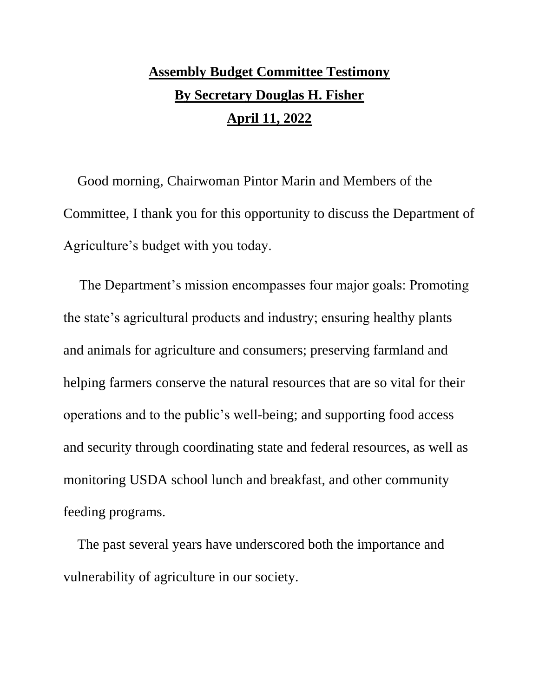## **Assembly Budget Committee Testimony By Secretary Douglas H. Fisher April 11, 2022**

 Good morning, Chairwoman Pintor Marin and Members of the Committee, I thank you for this opportunity to discuss the Department of Agriculture's budget with you today.

 The Department's mission encompasses four major goals: Promoting the state's agricultural products and industry; ensuring healthy plants and animals for agriculture and consumers; preserving farmland and helping farmers conserve the natural resources that are so vital for their operations and to the public's well-being; and supporting food access and security through coordinating state and federal resources, as well as monitoring USDA school lunch and breakfast, and other community feeding programs.

 The past several years have underscored both the importance and vulnerability of agriculture in our society.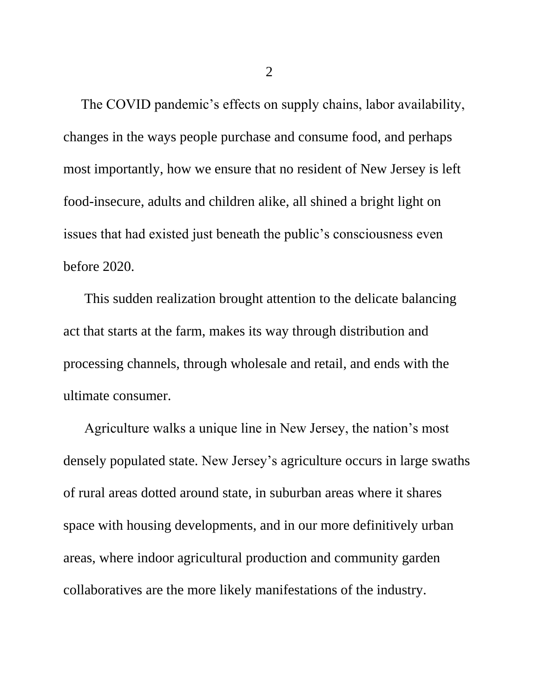The COVID pandemic's effects on supply chains, labor availability, changes in the ways people purchase and consume food, and perhaps most importantly, how we ensure that no resident of New Jersey is left food-insecure, adults and children alike, all shined a bright light on issues that had existed just beneath the public's consciousness even before 2020.

 This sudden realization brought attention to the delicate balancing act that starts at the farm, makes its way through distribution and processing channels, through wholesale and retail, and ends with the ultimate consumer.

 Agriculture walks a unique line in New Jersey, the nation's most densely populated state. New Jersey's agriculture occurs in large swaths of rural areas dotted around state, in suburban areas where it shares space with housing developments, and in our more definitively urban areas, where indoor agricultural production and community garden collaboratives are the more likely manifestations of the industry.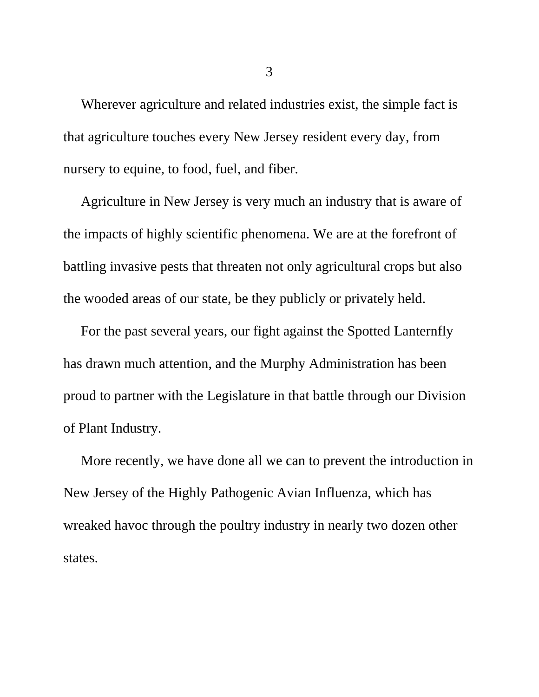Wherever agriculture and related industries exist, the simple fact is that agriculture touches every New Jersey resident every day, from nursery to equine, to food, fuel, and fiber.

 Agriculture in New Jersey is very much an industry that is aware of the impacts of highly scientific phenomena. We are at the forefront of battling invasive pests that threaten not only agricultural crops but also the wooded areas of our state, be they publicly or privately held.

 For the past several years, our fight against the Spotted Lanternfly has drawn much attention, and the Murphy Administration has been proud to partner with the Legislature in that battle through our Division of Plant Industry.

 More recently, we have done all we can to prevent the introduction in New Jersey of the Highly Pathogenic Avian Influenza, which has wreaked havoc through the poultry industry in nearly two dozen other states.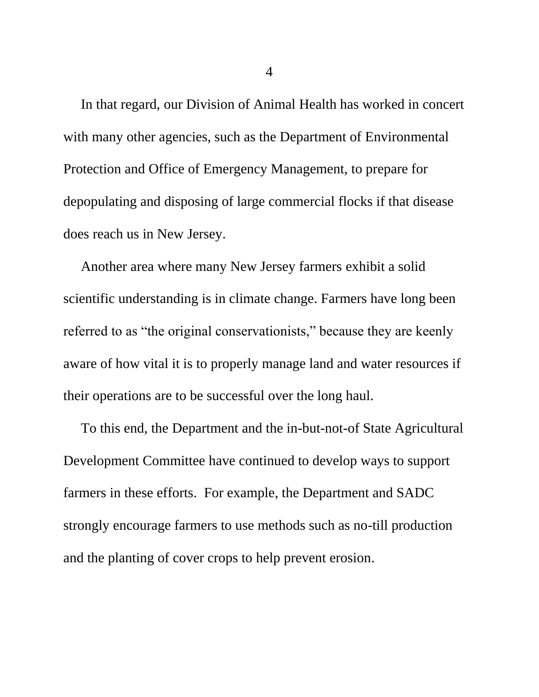In that regard, our Division of Animal Health has worked in concert with many other agencies, such as the Department of Environmental Protection and Office of Emergency Management, to prepare for depopulating and disposing of large commercial flocks if that disease does reach us in New Jersey.

 Another area where many New Jersey farmers exhibit a solid scientific understanding is in climate change. Farmers have long been referred to as "the original conservationists," because they are keenly aware of how vital it is to properly manage land and water resources if their operations are to be successful over the long haul.

 To this end, the Department and the in-but-not-of State Agricultural Development Committee have continued to develop ways to support farmers in these efforts. For example, the Department and SADC strongly encourage farmers to use methods such as no-till production and the planting of cover crops to help prevent erosion.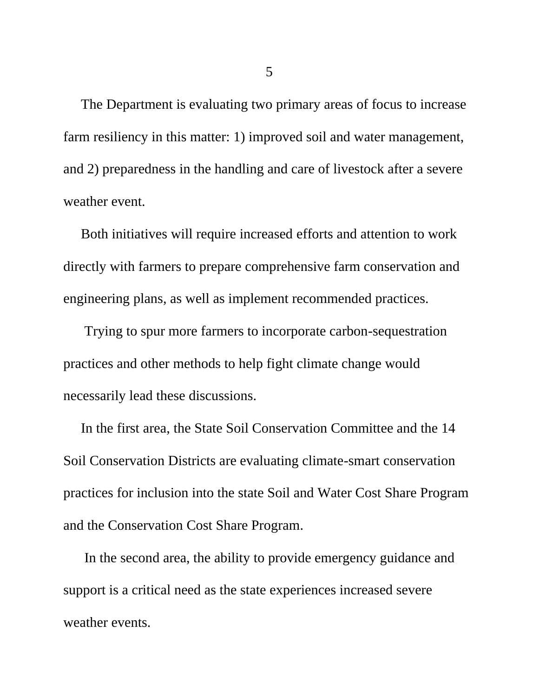The Department is evaluating two primary areas of focus to increase farm resiliency in this matter: 1) improved soil and water management, and 2) preparedness in the handling and care of livestock after a severe weather event.

 Both initiatives will require increased efforts and attention to work directly with farmers to prepare comprehensive farm conservation and engineering plans, as well as implement recommended practices.

 Trying to spur more farmers to incorporate carbon-sequestration practices and other methods to help fight climate change would necessarily lead these discussions.

 In the first area, the State Soil Conservation Committee and the 14 Soil Conservation Districts are evaluating climate-smart conservation practices for inclusion into the state Soil and Water Cost Share Program and the Conservation Cost Share Program.

 In the second area, the ability to provide emergency guidance and support is a critical need as the state experiences increased severe weather events.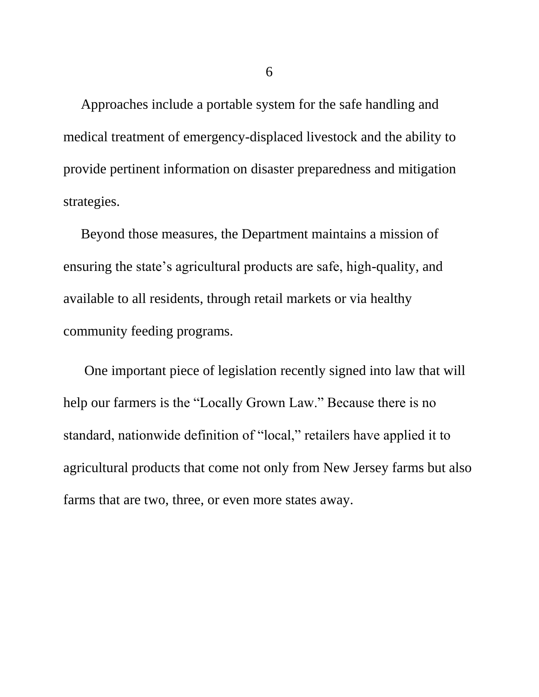Approaches include a portable system for the safe handling and medical treatment of emergency-displaced livestock and the ability to provide pertinent information on disaster preparedness and mitigation strategies.

 Beyond those measures, the Department maintains a mission of ensuring the state's agricultural products are safe, high-quality, and available to all residents, through retail markets or via healthy community feeding programs.

 One important piece of legislation recently signed into law that will help our farmers is the "Locally Grown Law." Because there is no standard, nationwide definition of "local," retailers have applied it to agricultural products that come not only from New Jersey farms but also farms that are two, three, or even more states away.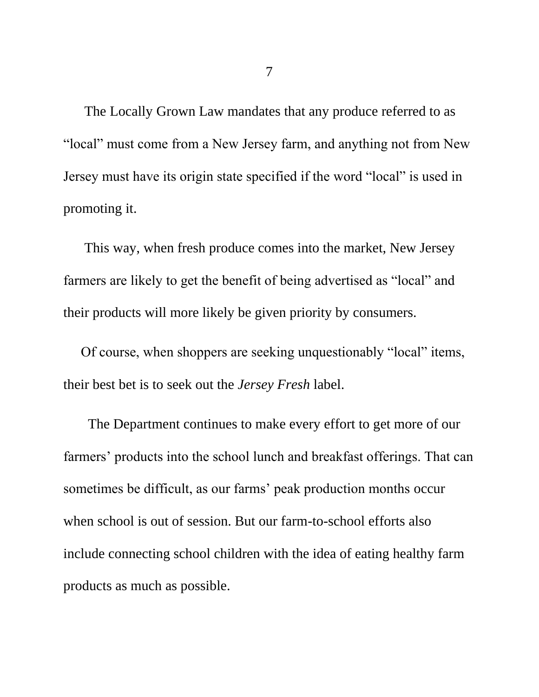The Locally Grown Law mandates that any produce referred to as "local" must come from a New Jersey farm, and anything not from New Jersey must have its origin state specified if the word "local" is used in promoting it.

 This way, when fresh produce comes into the market, New Jersey farmers are likely to get the benefit of being advertised as "local" and their products will more likely be given priority by consumers.

 Of course, when shoppers are seeking unquestionably "local" items, their best bet is to seek out the *Jersey Fresh* label.

 The Department continues to make every effort to get more of our farmers' products into the school lunch and breakfast offerings. That can sometimes be difficult, as our farms' peak production months occur when school is out of session. But our farm-to-school efforts also include connecting school children with the idea of eating healthy farm products as much as possible.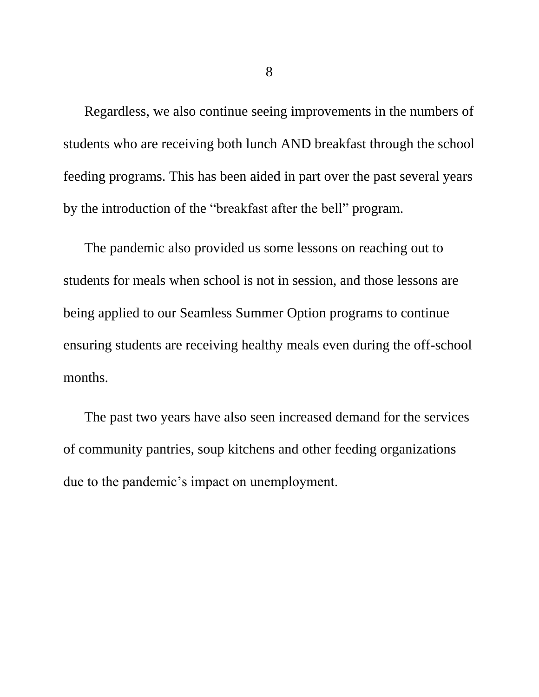Regardless, we also continue seeing improvements in the numbers of students who are receiving both lunch AND breakfast through the school feeding programs. This has been aided in part over the past several years by the introduction of the "breakfast after the bell" program.

 The pandemic also provided us some lessons on reaching out to students for meals when school is not in session, and those lessons are being applied to our Seamless Summer Option programs to continue ensuring students are receiving healthy meals even during the off-school months.

 The past two years have also seen increased demand for the services of community pantries, soup kitchens and other feeding organizations due to the pandemic's impact on unemployment.